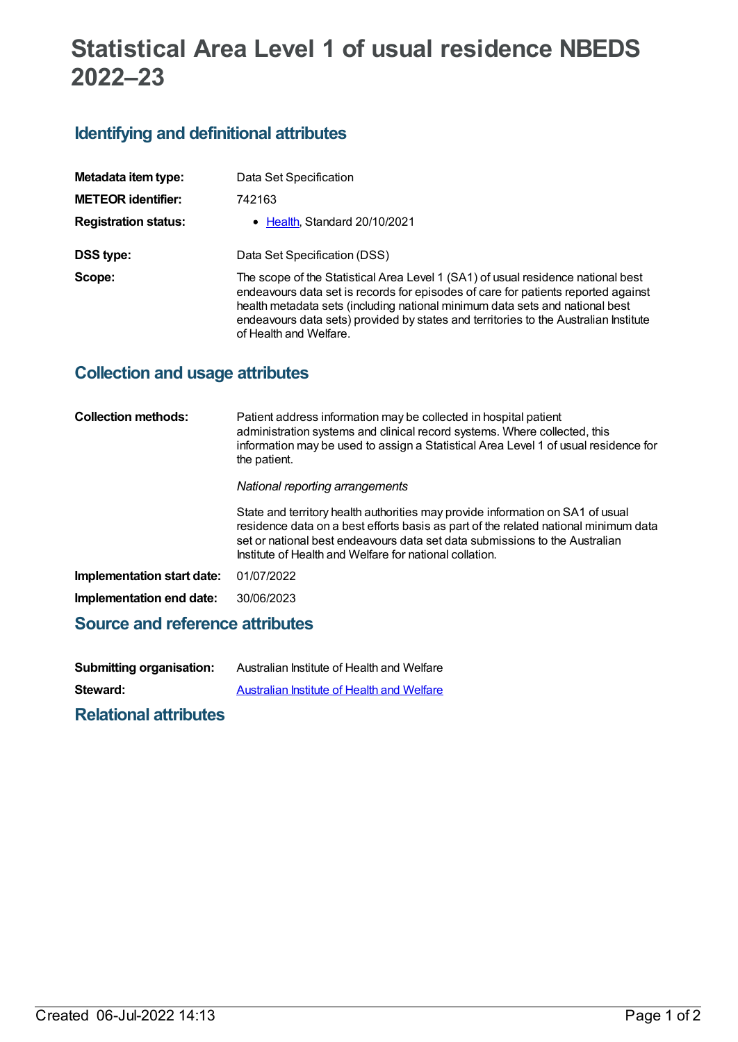# **Statistical Area Level 1 of usual residence NBEDS 2022–23**

## **Identifying and definitional attributes**

| Metadata item type:         | Data Set Specification                                                                                                                                                                                                                                                                                                                                                  |
|-----------------------------|-------------------------------------------------------------------------------------------------------------------------------------------------------------------------------------------------------------------------------------------------------------------------------------------------------------------------------------------------------------------------|
| <b>METEOR identifier:</b>   | 742163                                                                                                                                                                                                                                                                                                                                                                  |
| <b>Registration status:</b> | • Health, Standard 20/10/2021                                                                                                                                                                                                                                                                                                                                           |
| DSS type:                   | Data Set Specification (DSS)                                                                                                                                                                                                                                                                                                                                            |
| Scope:                      | The scope of the Statistical Area Level 1 (SA1) of usual residence national best<br>endeavours data set is records for episodes of care for patients reported against<br>health metadata sets (including national minimum data sets and national best<br>endeavours data sets) provided by states and territories to the Australian Institute<br>of Health and Welfare. |

### **Collection and usage attributes**

| <b>Collection methods:</b>      | Patient address information may be collected in hospital patient<br>administration systems and clinical record systems. Where collected, this<br>information may be used to assign a Statistical Area Level 1 of usual residence for<br>the patient.                                                            |
|---------------------------------|-----------------------------------------------------------------------------------------------------------------------------------------------------------------------------------------------------------------------------------------------------------------------------------------------------------------|
|                                 | National reporting arrangements                                                                                                                                                                                                                                                                                 |
|                                 | State and territory health authorities may provide information on SA1 of usual<br>residence data on a best efforts basis as part of the related national minimum data<br>set or national best endeavours data set data submissions to the Australian<br>Institute of Health and Welfare for national collation. |
| Implementation start date:      | 01/07/2022                                                                                                                                                                                                                                                                                                      |
| Implementation end date:        | 30/06/2023                                                                                                                                                                                                                                                                                                      |
| Source and reference attributes |                                                                                                                                                                                                                                                                                                                 |

| <b>Submitting organisation:</b> | Australian Institute of Health and Welfare |
|---------------------------------|--------------------------------------------|
| Steward:                        | Australian Institute of Health and Welfare |

**Relational attributes**